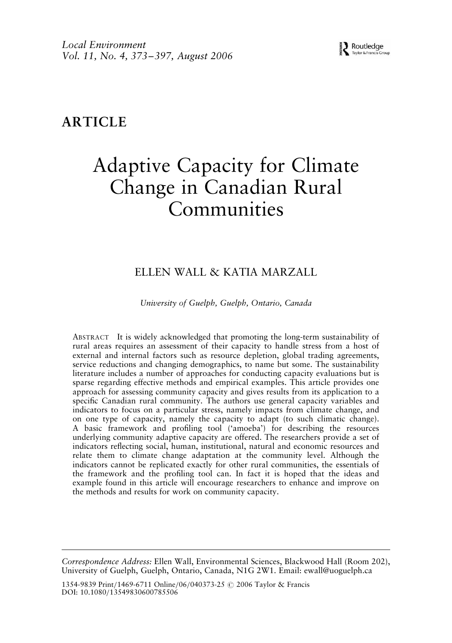# ARTICLE

# Adaptive Capacity for Climate Change in Canadian Rural Communities

# ELLEN WALL & KATIA MARZALL

University of Guelph, Guelph, Ontario, Canada

ABSTRACT It is widely acknowledged that promoting the long-term sustainability of rural areas requires an assessment of their capacity to handle stress from a host of external and internal factors such as resource depletion, global trading agreements, service reductions and changing demographics, to name but some. The sustainability literature includes a number of approaches for conducting capacity evaluations but is sparse regarding effective methods and empirical examples. This article provides one approach for assessing community capacity and gives results from its application to a specific Canadian rural community. The authors use general capacity variables and indicators to focus on a particular stress, namely impacts from climate change, and on one type of capacity, namely the capacity to adapt (to such climatic change). A basic framework and profiling tool ('amoeba') for describing the resources underlying community adaptive capacity are offered. The researchers provide a set of indicators reflecting social, human, institutional, natural and economic resources and relate them to climate change adaptation at the community level. Although the indicators cannot be replicated exactly for other rural communities, the essentials of the framework and the profiling tool can. In fact it is hoped that the ideas and example found in this article will encourage researchers to enhance and improve on the methods and results for work on community capacity.

1354-9839 Print/1469-6711 Online/06/040373-25 © 2006 Taylor & Francis DOI: 10.1080/13549830600785506

Correspondence Address: Ellen Wall, Environmental Sciences, Blackwood Hall (Room 202), University of Guelph, Guelph, Ontario, Canada, N1G 2W1. Email: ewall@uoguelph.ca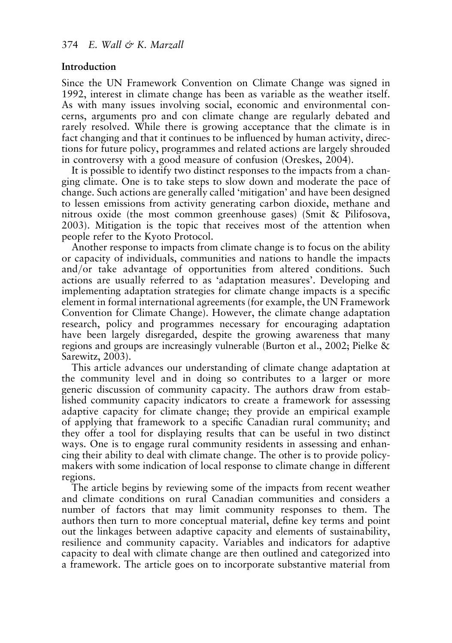#### **Introduction**

Since the UN Framework Convention on Climate Change was signed in 1992, interest in climate change has been as variable as the weather itself. As with many issues involving social, economic and environmental concerns, arguments pro and con climate change are regularly debated and rarely resolved. While there is growing acceptance that the climate is in fact changing and that it continues to be influenced by human activity, directions for future policy, programmes and related actions are largely shrouded in controversy with a good measure of confusion (Oreskes, 2004).

It is possible to identify two distinct responses to the impacts from a changing climate. One is to take steps to slow down and moderate the pace of change. Such actions are generally called 'mitigation' and have been designed to lessen emissions from activity generating carbon dioxide, methane and nitrous oxide (the most common greenhouse gases) (Smit & Pilifosova, 2003). Mitigation is the topic that receives most of the attention when people refer to the Kyoto Protocol.

Another response to impacts from climate change is to focus on the ability or capacity of individuals, communities and nations to handle the impacts and/or take advantage of opportunities from altered conditions. Such actions are usually referred to as 'adaptation measures'. Developing and implementing adaptation strategies for climate change impacts is a specific element in formal international agreements (for example, the UN Framework Convention for Climate Change). However, the climate change adaptation research, policy and programmes necessary for encouraging adaptation have been largely disregarded, despite the growing awareness that many regions and groups are increasingly vulnerable (Burton et al., 2002; Pielke & Sarewitz, 2003).

This article advances our understanding of climate change adaptation at the community level and in doing so contributes to a larger or more generic discussion of community capacity. The authors draw from established community capacity indicators to create a framework for assessing adaptive capacity for climate change; they provide an empirical example of applying that framework to a specific Canadian rural community; and they offer a tool for displaying results that can be useful in two distinct ways. One is to engage rural community residents in assessing and enhancing their ability to deal with climate change. The other is to provide policymakers with some indication of local response to climate change in different regions.

The article begins by reviewing some of the impacts from recent weather and climate conditions on rural Canadian communities and considers a number of factors that may limit community responses to them. The authors then turn to more conceptual material, define key terms and point out the linkages between adaptive capacity and elements of sustainability, resilience and community capacity. Variables and indicators for adaptive capacity to deal with climate change are then outlined and categorized into a framework. The article goes on to incorporate substantive material from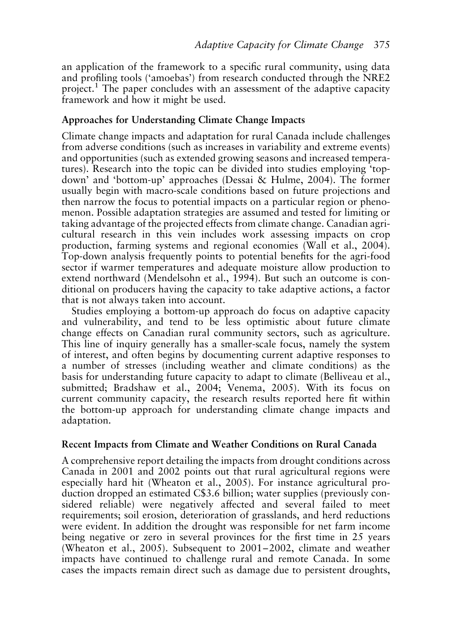an application of the framework to a specific rural community, using data and profiling tools ('amoebas') from research conducted through the NRE2 project.<sup>1</sup> The paper concludes with an assessment of the adaptive capacity framework and how it might be used.

# Approaches for Understanding Climate Change Impacts

Climate change impacts and adaptation for rural Canada include challenges from adverse conditions (such as increases in variability and extreme events) and opportunities (such as extended growing seasons and increased temperatures). Research into the topic can be divided into studies employing 'topdown' and 'bottom-up' approaches (Dessai & Hulme, 2004). The former usually begin with macro-scale conditions based on future projections and then narrow the focus to potential impacts on a particular region or phenomenon. Possible adaptation strategies are assumed and tested for limiting or taking advantage of the projected effects from climate change. Canadian agricultural research in this vein includes work assessing impacts on crop production, farming systems and regional economies (Wall et al., 2004). Top-down analysis frequently points to potential benefits for the agri-food sector if warmer temperatures and adequate moisture allow production to extend northward (Mendelsohn et al., 1994). But such an outcome is conditional on producers having the capacity to take adaptive actions, a factor that is not always taken into account.

Studies employing a bottom-up approach do focus on adaptive capacity and vulnerability, and tend to be less optimistic about future climate change effects on Canadian rural community sectors, such as agriculture. This line of inquiry generally has a smaller-scale focus, namely the system of interest, and often begins by documenting current adaptive responses to a number of stresses (including weather and climate conditions) as the basis for understanding future capacity to adapt to climate (Belliveau et al., submitted; Bradshaw et al., 2004; Venema, 2005). With its focus on current community capacity, the research results reported here fit within the bottom-up approach for understanding climate change impacts and adaptation.

# Recent Impacts from Climate and Weather Conditions on Rural Canada

A comprehensive report detailing the impacts from drought conditions across Canada in 2001 and 2002 points out that rural agricultural regions were especially hard hit (Wheaton et al., 2005). For instance agricultural production dropped an estimated C\$3.6 billion; water supplies (previously considered reliable) were negatively affected and several failed to meet requirements; soil erosion, deterioration of grasslands, and herd reductions were evident. In addition the drought was responsible for net farm income being negative or zero in several provinces for the first time in 25 years (Wheaton et al., 2005). Subsequent to 2001–2002, climate and weather impacts have continued to challenge rural and remote Canada. In some cases the impacts remain direct such as damage due to persistent droughts,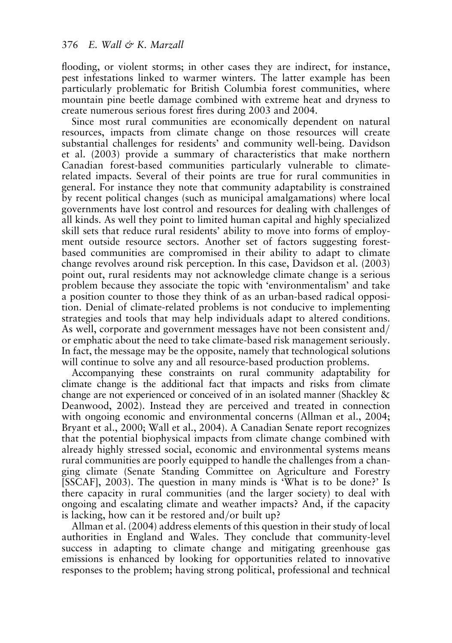flooding, or violent storms; in other cases they are indirect, for instance, pest infestations linked to warmer winters. The latter example has been particularly problematic for British Columbia forest communities, where mountain pine beetle damage combined with extreme heat and dryness to create numerous serious forest fires during 2003 and 2004.

Since most rural communities are economically dependent on natural resources, impacts from climate change on those resources will create substantial challenges for residents' and community well-being. Davidson et al. (2003) provide a summary of characteristics that make northern Canadian forest-based communities particularly vulnerable to climaterelated impacts. Several of their points are true for rural communities in general. For instance they note that community adaptability is constrained by recent political changes (such as municipal amalgamations) where local governments have lost control and resources for dealing with challenges of all kinds. As well they point to limited human capital and highly specialized skill sets that reduce rural residents' ability to move into forms of employment outside resource sectors. Another set of factors suggesting forestbased communities are compromised in their ability to adapt to climate change revolves around risk perception. In this case, Davidson et al. (2003) point out, rural residents may not acknowledge climate change is a serious problem because they associate the topic with 'environmentalism' and take a position counter to those they think of as an urban-based radical opposition. Denial of climate-related problems is not conducive to implementing strategies and tools that may help individuals adapt to altered conditions. As well, corporate and government messages have not been consistent and/ or emphatic about the need to take climate-based risk management seriously. In fact, the message may be the opposite, namely that technological solutions will continue to solve any and all resource-based production problems.

Accompanying these constraints on rural community adaptability for climate change is the additional fact that impacts and risks from climate change are not experienced or conceived of in an isolated manner (Shackley & Deanwood, 2002). Instead they are perceived and treated in connection with ongoing economic and environmental concerns (Allman et al., 2004; Bryant et al., 2000; Wall et al., 2004). A Canadian Senate report recognizes that the potential biophysical impacts from climate change combined with already highly stressed social, economic and environmental systems means rural communities are poorly equipped to handle the challenges from a changing climate (Senate Standing Committee on Agriculture and Forestry [SSCAF], 2003). The question in many minds is 'What is to be done?' Is there capacity in rural communities (and the larger society) to deal with ongoing and escalating climate and weather impacts? And, if the capacity is lacking, how can it be restored and/or built up?

Allman et al. (2004) address elements of this question in their study of local authorities in England and Wales. They conclude that community-level success in adapting to climate change and mitigating greenhouse gas emissions is enhanced by looking for opportunities related to innovative responses to the problem; having strong political, professional and technical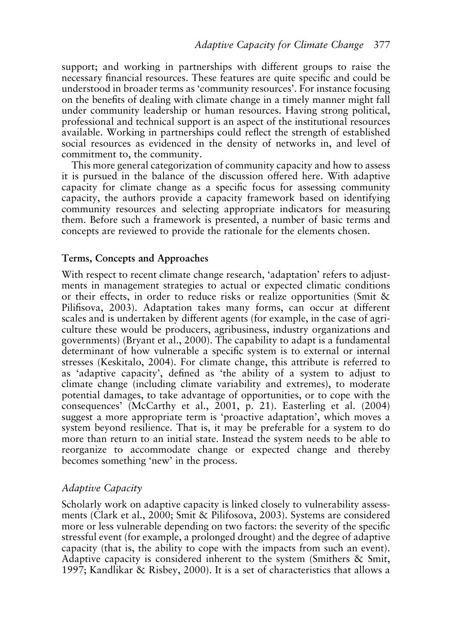support; and working in partnerships with different groups to raise the necessary financial resources. These features are quite specific and could be understood in broader terms as 'community resources'. For instance focusing on the benefits of dealing with climate change in a timely manner might fall under community leadership or human resources. Having strong political, professional and technical support is an aspect of the institutional resources available. Working in partnerships could reflect the strength of established social resources as evidenced in the density of networks in, and level of commitment to, the community.

This more general categorization of community capacity and how to assess it is pursued in the balance of the discussion offered here. With adaptive capacity for climate change as a specific focus for assessing community capacity, the authors provide a capacity framework based on identifying community resources and selecting appropriate indicators for measuring them. Before such a framework is presented, a number of basic terms and concepts are reviewed to provide the rationale for the elements chosen.

# Terms, Concepts and Approaches

With respect to recent climate change research, 'adaptation' refers to adjustments in management strategies to actual or expected climatic conditions or their effects, in order to reduce risks or realize opportunities (Smit  $\&$ Pilifisova, 2003). Adaptation takes many forms, can occur at different scales and is undertaken by different agents (for example, in the case of agriculture these would be producers, agribusiness, industry organizations and governments) (Bryant et al., 2000). The capability to adapt is a fundamental determinant of how vulnerable a specific system is to external or internal stresses (Keskitalo, 2004). For climate change, this attribute is referred to as 'adaptive capacity', defined as 'the ability of a system to adjust to climate change (including climate variability and extremes), to moderate potential damages, to take advantage of opportunities, or to cope with the consequences' (McCarthy et al., 2001, p. 21). Easterling et al. (2004) suggest a more appropriate term is 'proactive adaptation', which moves a system beyond resilience. That is, it may be preferable for a system to do more than return to an initial state. Instead the system needs to be able to reorganize to accommodate change or expected change and thereby becomes something 'new' in the process.

# Adaptive Capacity

Scholarly work on adaptive capacity is linked closely to vulnerability assessments (Clark et al., 2000; Smit & Pilifosova, 2003). Systems are considered more or less vulnerable depending on two factors: the severity of the specific stressful event (for example, a prolonged drought) and the degree of adaptive capacity (that is, the ability to cope with the impacts from such an event). Adaptive capacity is considered inherent to the system (Smithers & Smit, 1997; Kandlikar & Risbey, 2000). It is a set of characteristics that allows a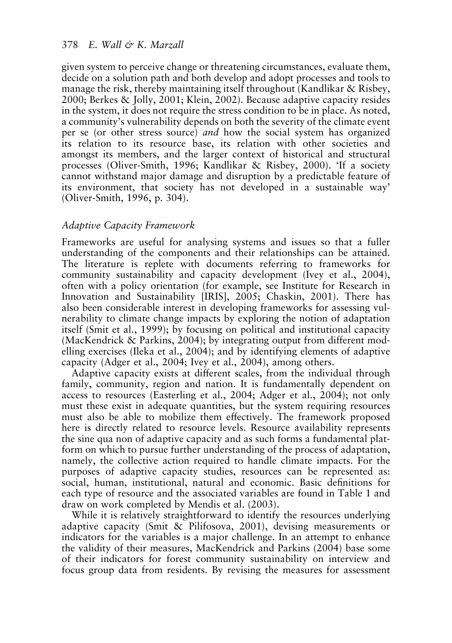given system to perceive change or threatening circumstances, evaluate them, decide on a solution path and both develop and adopt processes and tools to manage the risk, thereby maintaining itself throughout (Kandlikar & Risbey, 2000; Berkes & Jolly, 2001; Klein, 2002). Because adaptive capacity resides in the system, it does not require the stress condition to be in place. As noted, a community's vulnerability depends on both the severity of the climate event per se (or other stress source) *and* how the social system has organized its relation to its resource base, its relation with other societies and amongst its members, and the larger context of historical and structural processes (Oliver-Smith, 1996; Kandlikar & Risbey, 2000). 'If a society cannot withstand major damage and disruption by a predictable feature of its environment, that society has not developed in a sustainable way' (Oliver-Smith, 1996, p. 304).

# Adaptive Capacity Framework

Frameworks are useful for analysing systems and issues so that a fuller understanding of the components and their relationships can be attained. The literature is replete with documents referring to frameworks for community sustainability and capacity development (Ivey et al., 2004), often with a policy orientation (for example, see Institute for Research in Innovation and Sustainability [IRIS], 2005; Chaskin, 2001). There has also been considerable interest in developing frameworks for assessing vulnerability to climate change impacts by exploring the notion of adaptation itself (Smit et al., 1999); by focusing on political and institutional capacity (MacKendrick & Parkins, 2004); by integrating output from different modelling exercises (Ileka et al., 2004); and by identifying elements of adaptive capacity (Adger et al., 2004; Ivey et al., 2004), among others.

Adaptive capacity exists at different scales, from the individual through family, community, region and nation. It is fundamentally dependent on access to resources (Easterling et al., 2004; Adger et al., 2004); not only must these exist in adequate quantities, but the system requiring resources must also be able to mobilize them effectively. The framework proposed here is directly related to resource levels. Resource availability represents the sine qua non of adaptive capacity and as such forms a fundamental platform on which to pursue further understanding of the process of adaptation, namely, the collective action required to handle climate impacts. For the purposes of adaptive capacity studies, resources can be represented as: social, human, institutional, natural and economic. Basic definitions for each type of resource and the associated variables are found in Table 1 and draw on work completed by Mendis et al. (2003).

While it is relatively straightforward to identify the resources underlying adaptive capacity (Smit & Pilifosova, 2001), devising measurements or indicators for the variables is a major challenge. In an attempt to enhance the validity of their measures, MacKendrick and Parkins (2004) base some of their indicators for forest community sustainability on interview and focus group data from residents. By revising the measures for assessment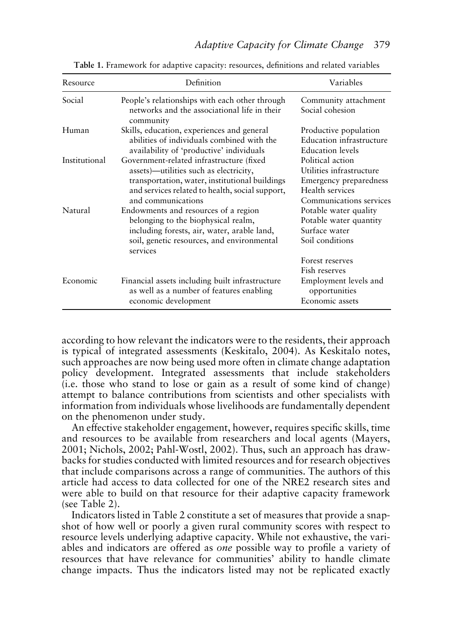| Resource      | Definition                                                                                                                                                                                                    | Variables                                                                                                               |
|---------------|---------------------------------------------------------------------------------------------------------------------------------------------------------------------------------------------------------------|-------------------------------------------------------------------------------------------------------------------------|
| Social        | People's relationships with each other through<br>networks and the associational life in their<br>community                                                                                                   | Community attachment<br>Social cohesion                                                                                 |
| Human         | Skills, education, experiences and general<br>abilities of individuals combined with the<br>availability of 'productive' individuals                                                                          | Productive population<br><b>Education</b> infrastructure<br><b>Education</b> levels                                     |
| Institutional | Government-related infrastructure (fixed<br>assets)-utilities such as electricity,<br>transportation, water, institutional buildings<br>and services related to health, social support,<br>and communications | Political action<br>Utilities infrastructure<br>Emergency preparedness<br>Health services<br>Communications services    |
| Natural       | Endowments and resources of a region<br>belonging to the biophysical realm,<br>including forests, air, water, arable land,<br>soil, genetic resources, and environmental<br>services                          | Potable water quality<br>Potable water quantity<br>Surface water<br>Soil conditions<br>Forest reserves<br>Fish reserves |
| Economic      | Financial assets including built infrastructure<br>as well as a number of features enabling<br>economic development                                                                                           | Employment levels and<br>opportunities<br>Economic assets                                                               |

Table 1. Framework for adaptive capacity: resources, definitions and related variables

according to how relevant the indicators were to the residents, their approach is typical of integrated assessments (Keskitalo, 2004). As Keskitalo notes, such approaches are now being used more often in climate change adaptation policy development. Integrated assessments that include stakeholders (i.e. those who stand to lose or gain as a result of some kind of change) attempt to balance contributions from scientists and other specialists with information from individuals whose livelihoods are fundamentally dependent on the phenomenon under study.

An effective stakeholder engagement, however, requires specific skills, time and resources to be available from researchers and local agents (Mayers, 2001; Nichols, 2002; Pahl-Wostl, 2002). Thus, such an approach has drawbacks for studies conducted with limited resources and for research objectives that include comparisons across a range of communities. The authors of this article had access to data collected for one of the NRE2 research sites and were able to build on that resource for their adaptive capacity framework (see Table 2).

Indicators listed in Table 2 constitute a set of measures that provide a snapshot of how well or poorly a given rural community scores with respect to resource levels underlying adaptive capacity. While not exhaustive, the variables and indicators are offered as *one* possible way to profile a variety of resources that have relevance for communities' ability to handle climate change impacts. Thus the indicators listed may not be replicated exactly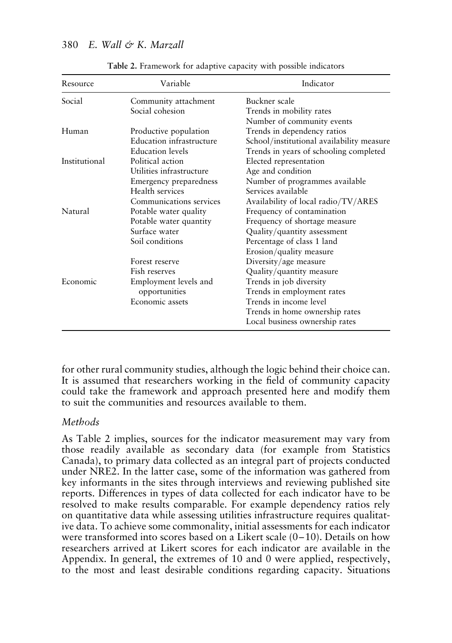| Resource      | Variable                        | Indicator                                 |
|---------------|---------------------------------|-------------------------------------------|
| Social        | Community attachment            | Buckner scale                             |
|               | Social cohesion                 | Trends in mobility rates                  |
|               |                                 | Number of community events                |
| Human         | Productive population           | Trends in dependency ratios               |
|               | <b>Education</b> infrastructure | School/institutional availability measure |
|               | <b>Education</b> levels         | Trends in years of schooling completed    |
| Institutional | Political action                | Elected representation                    |
|               | Utilities infrastructure        | Age and condition                         |
|               | Emergency preparedness          | Number of programmes available            |
|               | Health services                 | Services available                        |
|               | Communications services         | Availability of local radio/TV/ARES       |
| Natural       | Potable water quality           | Frequency of contamination                |
|               | Potable water quantity          | Frequency of shortage measure             |
|               | Surface water                   | Quality/quantity assessment               |
|               | Soil conditions                 | Percentage of class 1 land                |
|               |                                 | Erosion/quality measure                   |
|               | Forest reserve                  | Diversity/age measure                     |
|               | Fish reserves                   | Quality/quantity measure                  |
| Economic      | Employment levels and           | Trends in job diversity                   |
|               | opportunities                   | Trends in employment rates                |
|               | Economic assets                 | Trends in income level                    |
|               |                                 | Trends in home ownership rates            |
|               |                                 | Local business ownership rates            |

Table 2. Framework for adaptive capacity with possible indicators

for other rural community studies, although the logic behind their choice can. It is assumed that researchers working in the field of community capacity could take the framework and approach presented here and modify them to suit the communities and resources available to them.

# Methods

As Table 2 implies, sources for the indicator measurement may vary from those readily available as secondary data (for example from Statistics Canada), to primary data collected as an integral part of projects conducted under NRE2. In the latter case, some of the information was gathered from key informants in the sites through interviews and reviewing published site reports. Differences in types of data collected for each indicator have to be resolved to make results comparable. For example dependency ratios rely on quantitative data while assessing utilities infrastructure requires qualitative data. To achieve some commonality, initial assessments for each indicator were transformed into scores based on a Likert scale  $(0-10)$ . Details on how researchers arrived at Likert scores for each indicator are available in the Appendix. In general, the extremes of 10 and 0 were applied, respectively, to the most and least desirable conditions regarding capacity. Situations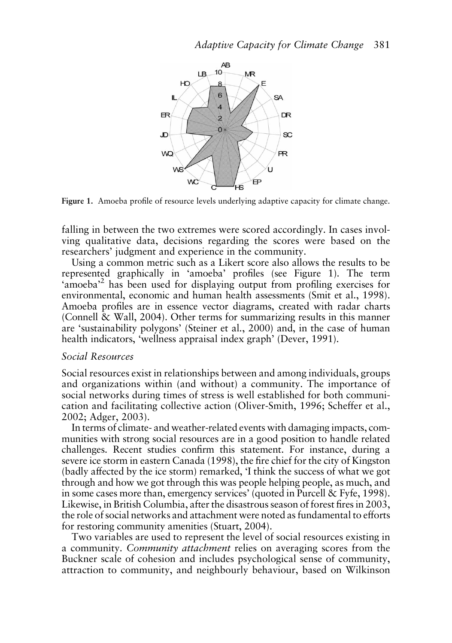

Figure 1. Amoeba profile of resource levels underlying adaptive capacity for climate change.

falling in between the two extremes were scored accordingly. In cases involving qualitative data, decisions regarding the scores were based on the researchers' judgment and experience in the community.

Using a common metric such as a Likert score also allows the results to be represented graphically in 'amoeba' profiles (see Figure 1). The term 'amoeba'<sup>2</sup> has been used for displaying output from profiling exercises for environmental, economic and human health assessments (Smit et al., 1998). Amoeba profiles are in essence vector diagrams, created with radar charts (Connell & Wall, 2004). Other terms for summarizing results in this manner are 'sustainability polygons' (Steiner et al., 2000) and, in the case of human health indicators, 'wellness appraisal index graph' (Dever, 1991).

#### Social Resources

Social resources exist in relationships between and among individuals, groups and organizations within (and without) a community. The importance of social networks during times of stress is well established for both communication and facilitating collective action (Oliver-Smith, 1996; Scheffer et al., 2002; Adger, 2003).

In terms of climate- and weather-related events with damaging impacts, communities with strong social resources are in a good position to handle related challenges. Recent studies confirm this statement. For instance, during a severe ice storm in eastern Canada (1998), the fire chief for the city of Kingston (badly affected by the ice storm) remarked, 'I think the success of what we got through and how we got through this was people helping people, as much, and in some cases more than, emergency services' (quoted in Purcell & Fyfe, 1998). Likewise, in British Columbia, after the disastrous season of forest fires in 2003, the role of social networks and attachment were noted as fundamental to efforts for restoring community amenities (Stuart, 2004).

Two variables are used to represent the level of social resources existing in a community. Community attachment relies on averaging scores from the Buckner scale of cohesion and includes psychological sense of community, attraction to community, and neighbourly behaviour, based on Wilkinson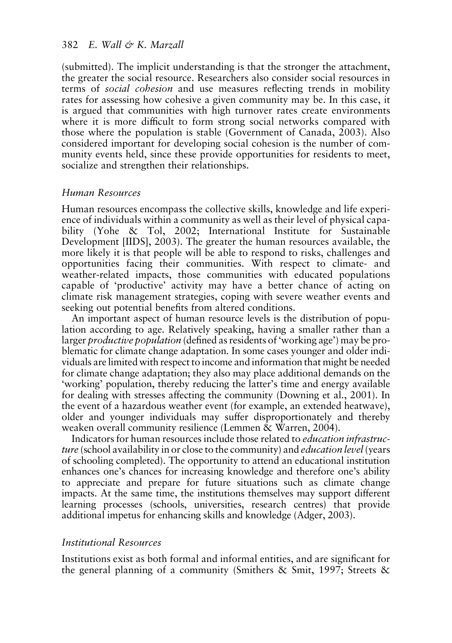(submitted). The implicit understanding is that the stronger the attachment, the greater the social resource. Researchers also consider social resources in terms of social cohesion and use measures reflecting trends in mobility rates for assessing how cohesive a given community may be. In this case, it is argued that communities with high turnover rates create environments where it is more difficult to form strong social networks compared with those where the population is stable (Government of Canada, 2003). Also considered important for developing social cohesion is the number of community events held, since these provide opportunities for residents to meet, socialize and strengthen their relationships.

# Human Resources

Human resources encompass the collective skills, knowledge and life experience of individuals within a community as well as their level of physical capability (Yohe & Tol, 2002; International Institute for Sustainable Development [IIDS], 2003). The greater the human resources available, the more likely it is that people will be able to respond to risks, challenges and opportunities facing their communities. With respect to climate- and weather-related impacts, those communities with educated populations capable of 'productive' activity may have a better chance of acting on climate risk management strategies, coping with severe weather events and seeking out potential benefits from altered conditions.

An important aspect of human resource levels is the distribution of population according to age. Relatively speaking, having a smaller rather than a larger *productive population* (defined as residents of 'working age') may be problematic for climate change adaptation. In some cases younger and older individuals are limited with respect to income and information that might be needed for climate change adaptation; they also may place additional demands on the 'working' population, thereby reducing the latter's time and energy available for dealing with stresses affecting the community (Downing et al., 2001). In the event of a hazardous weather event (for example, an extended heatwave), older and younger individuals may suffer disproportionately and thereby weaken overall community resilience (Lemmen & Warren, 2004).

Indicators for human resources include those related to education infrastructure (school availability in or close to the community) and *education level* (years of schooling completed). The opportunity to attend an educational institution enhances one's chances for increasing knowledge and therefore one's ability to appreciate and prepare for future situations such as climate change impacts. At the same time, the institutions themselves may support different learning processes (schools, universities, research centres) that provide additional impetus for enhancing skills and knowledge (Adger, 2003).

# Institutional Resources

Institutions exist as both formal and informal entities, and are significant for the general planning of a community (Smithers & Smit, 1997; Streets &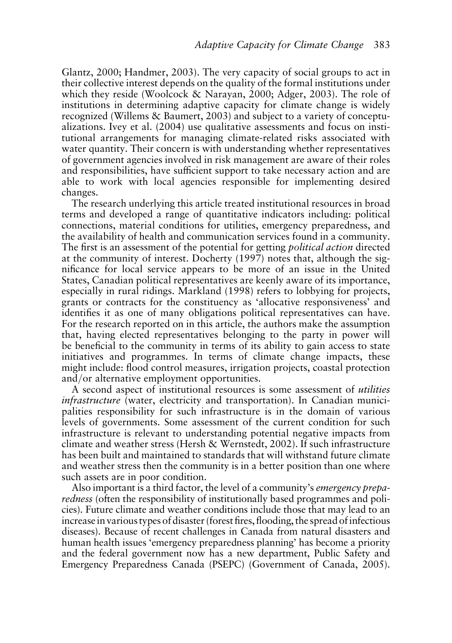Glantz, 2000; Handmer, 2003). The very capacity of social groups to act in their collective interest depends on the quality of the formal institutions under which they reside (Woolcock & Narayan, 2000; Adger, 2003). The role of institutions in determining adaptive capacity for climate change is widely recognized (Willems & Baumert, 2003) and subject to a variety of conceptualizations. Ivey et al. (2004) use qualitative assessments and focus on institutional arrangements for managing climate-related risks associated with water quantity. Their concern is with understanding whether representatives of government agencies involved in risk management are aware of their roles and responsibilities, have sufficient support to take necessary action and are able to work with local agencies responsible for implementing desired changes.

The research underlying this article treated institutional resources in broad terms and developed a range of quantitative indicators including: political connections, material conditions for utilities, emergency preparedness, and the availability of health and communication services found in a community. The first is an assessment of the potential for getting *political action* directed at the community of interest. Docherty (1997) notes that, although the significance for local service appears to be more of an issue in the United States, Canadian political representatives are keenly aware of its importance, especially in rural ridings. Markland (1998) refers to lobbying for projects, grants or contracts for the constituency as 'allocative responsiveness' and identifies it as one of many obligations political representatives can have. For the research reported on in this article, the authors make the assumption that, having elected representatives belonging to the party in power will be beneficial to the community in terms of its ability to gain access to state initiatives and programmes. In terms of climate change impacts, these might include: flood control measures, irrigation projects, coastal protection and/or alternative employment opportunities.

A second aspect of institutional resources is some assessment of utilities infrastructure (water, electricity and transportation). In Canadian municipalities responsibility for such infrastructure is in the domain of various levels of governments. Some assessment of the current condition for such infrastructure is relevant to understanding potential negative impacts from climate and weather stress (Hersh & Wernstedt, 2002). If such infrastructure has been built and maintained to standards that will withstand future climate and weather stress then the community is in a better position than one where such assets are in poor condition.

Also important is a third factor, the level of a community's emergency preparedness (often the responsibility of institutionally based programmes and policies). Future climate and weather conditions include those that may lead to an increasein various types of disaster (forest fires, flooding, the spread of infectious diseases). Because of recent challenges in Canada from natural disasters and human health issues 'emergency preparedness planning' has become a priority and the federal government now has a new department, Public Safety and Emergency Preparedness Canada (PSEPC) (Government of Canada, 2005).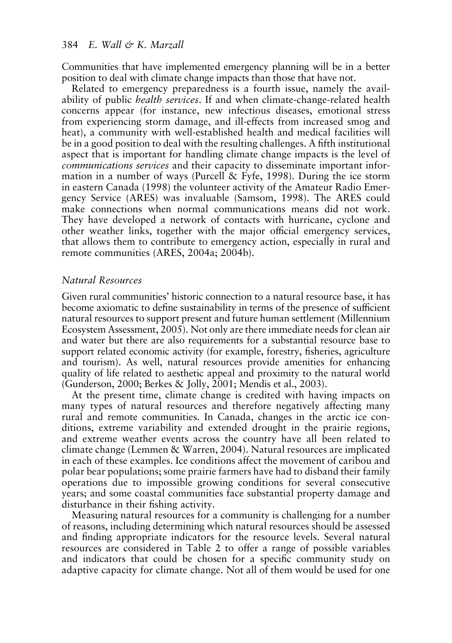Communities that have implemented emergency planning will be in a better position to deal with climate change impacts than those that have not.

Related to emergency preparedness is a fourth issue, namely the availability of public *health services*. If and when climate-change-related health concerns appear (for instance, new infectious diseases, emotional stress from experiencing storm damage, and ill-effects from increased smog and heat), a community with well-established health and medical facilities will be in a good position to deal with the resulting challenges. A fifth institutional aspect that is important for handling climate change impacts is the level of communications services and their capacity to disseminate important information in a number of ways (Purcell & Fyfe, 1998). During the ice storm in eastern Canada (1998) the volunteer activity of the Amateur Radio Emergency Service (ARES) was invaluable (Samsom, 1998). The ARES could make connections when normal communications means did not work. They have developed a network of contacts with hurricane, cyclone and other weather links, together with the major official emergency services, that allows them to contribute to emergency action, especially in rural and remote communities (ARES, 2004a; 2004b).

#### Natural Resources

Given rural communities' historic connection to a natural resource base, it has become axiomatic to define sustainability in terms of the presence of sufficient natural resources to support present and future human settlement (Millennium Ecosystem Assessment, 2005). Not only are there immediate needs for clean air and water but there are also requirements for a substantial resource base to support related economic activity (for example, forestry, fisheries, agriculture and tourism). As well, natural resources provide amenities for enhancing quality of life related to aesthetic appeal and proximity to the natural world (Gunderson, 2000; Berkes & Jolly, 2001; Mendis et al., 2003).

At the present time, climate change is credited with having impacts on many types of natural resources and therefore negatively affecting many rural and remote communities. In Canada, changes in the arctic ice conditions, extreme variability and extended drought in the prairie regions, and extreme weather events across the country have all been related to climate change (Lemmen & Warren, 2004). Natural resources are implicated in each of these examples. Ice conditions affect the movement of caribou and polar bear populations; some prairie farmers have had to disband their family operations due to impossible growing conditions for several consecutive years; and some coastal communities face substantial property damage and disturbance in their fishing activity.

Measuring natural resources for a community is challenging for a number of reasons, including determining which natural resources should be assessed and finding appropriate indicators for the resource levels. Several natural resources are considered in Table 2 to offer a range of possible variables and indicators that could be chosen for a specific community study on adaptive capacity for climate change. Not all of them would be used for one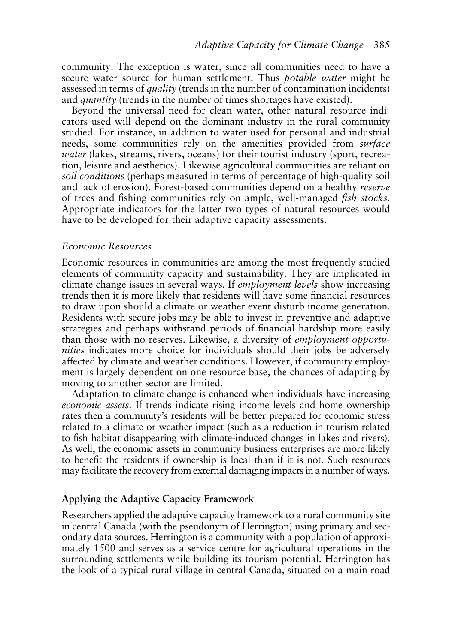community. The exception is water, since all communities need to have a secure water source for human settlement. Thus *potable water* might be assessed in terms of *quality* (trends in the number of contamination incidents) and *quantity* (trends in the number of times shortages have existed).

Beyond the universal need for clean water, other natural resource indicators used will depend on the dominant industry in the rural community studied. For instance, in addition to water used for personal and industrial needs, some communities rely on the amenities provided from *surface* water (lakes, streams, rivers, oceans) for their tourist industry (sport, recreation, leisure and aesthetics). Likewise agricultural communities are reliant on soil conditions (perhaps measured in terms of percentage of high-quality soil and lack of erosion). Forest-based communities depend on a healthy *reserve* of trees and fishing communities rely on ample, well-managed fish stocks. Appropriate indicators for the latter two types of natural resources would have to be developed for their adaptive capacity assessments.

#### Economic Resources

Economic resources in communities are among the most frequently studied elements of community capacity and sustainability. They are implicated in climate change issues in several ways. If *employment levels* show increasing trends then it is more likely that residents will have some financial resources to draw upon should a climate or weather event disturb income generation. Residents with secure jobs may be able to invest in preventive and adaptive strategies and perhaps withstand periods of financial hardship more easily than those with no reserves. Likewise, a diversity of employment opportu*nities* indicates more choice for individuals should their jobs be adversely affected by climate and weather conditions. However, if community employment is largely dependent on one resource base, the chances of adapting by moving to another sector are limited.

Adaptation to climate change is enhanced when individuals have increasing economic assets. If trends indicate rising income levels and home ownership rates then a community's residents will be better prepared for economic stress related to a climate or weather impact (such as a reduction in tourism related to fish habitat disappearing with climate-induced changes in lakes and rivers). As well, the economic assets in community business enterprises are more likely to benefit the residents if ownership is local than if it is not. Such resources may facilitate the recovery from external damaging impacts in a number of ways.

#### Applying the Adaptive Capacity Framework

Researchers applied the adaptive capacity framework to a rural community site in central Canada (with the pseudonym of Herrington) using primary and secondary data sources. Herrington is a community with a population of approximately 1500 and serves as a service centre for agricultural operations in the surrounding settlements while building its tourism potential. Herrington has the look of a typical rural village in central Canada, situated on a main road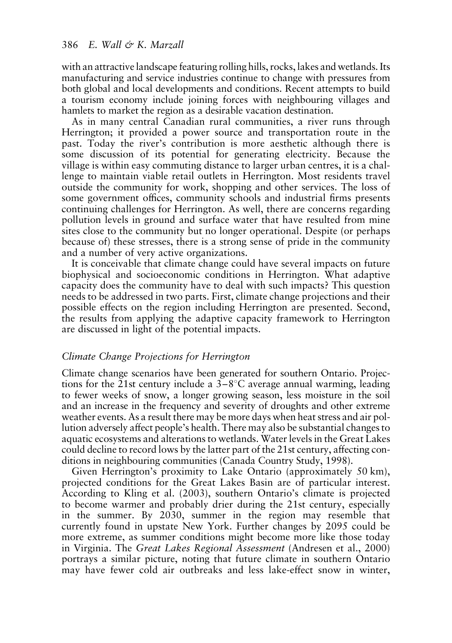with an attractive landscape featuring rolling hills, rocks, lakes and wetlands. Its manufacturing and service industries continue to change with pressures from both global and local developments and conditions. Recent attempts to build a tourism economy include joining forces with neighbouring villages and hamlets to market the region as a desirable vacation destination.

As in many central Canadian rural communities, a river runs through Herrington; it provided a power source and transportation route in the past. Today the river's contribution is more aesthetic although there is some discussion of its potential for generating electricity. Because the village is within easy commuting distance to larger urban centres, it is a challenge to maintain viable retail outlets in Herrington. Most residents travel outside the community for work, shopping and other services. The loss of some government offices, community schools and industrial firms presents continuing challenges for Herrington. As well, there are concerns regarding pollution levels in ground and surface water that have resulted from mine sites close to the community but no longer operational. Despite (or perhaps because of) these stresses, there is a strong sense of pride in the community and a number of very active organizations.

It is conceivable that climate change could have several impacts on future biophysical and socioeconomic conditions in Herrington. What adaptive capacity does the community have to deal with such impacts? This question needs to be addressed in two parts. First, climate change projections and their possible effects on the region including Herrington are presented. Second, the results from applying the adaptive capacity framework to Herrington are discussed in light of the potential impacts.

#### Climate Change Projections for Herrington

Climate change scenarios have been generated for southern Ontario. Projections for the 21st century include a  $3-8^{\circ}$ C average annual warming, leading to fewer weeks of snow, a longer growing season, less moisture in the soil and an increase in the frequency and severity of droughts and other extreme weather events. As a result there may be more days when heat stress and air pollution adversely affect people's health. There may also be substantial changes to aquatic ecosystems and alterations to wetlands. Water levels in the Great Lakes could decline to record lows by the latter part of the 21st century, affecting conditions in neighbouring communities (Canada Country Study, 1998).

Given Herrington's proximity to Lake Ontario (approximately 50 km), projected conditions for the Great Lakes Basin are of particular interest. According to Kling et al. (2003), southern Ontario's climate is projected to become warmer and probably drier during the 21st century, especially in the summer. By 2030, summer in the region may resemble that currently found in upstate New York. Further changes by 2095 could be more extreme, as summer conditions might become more like those today in Virginia. The Great Lakes Regional Assessment (Andresen et al., 2000) portrays a similar picture, noting that future climate in southern Ontario may have fewer cold air outbreaks and less lake-effect snow in winter,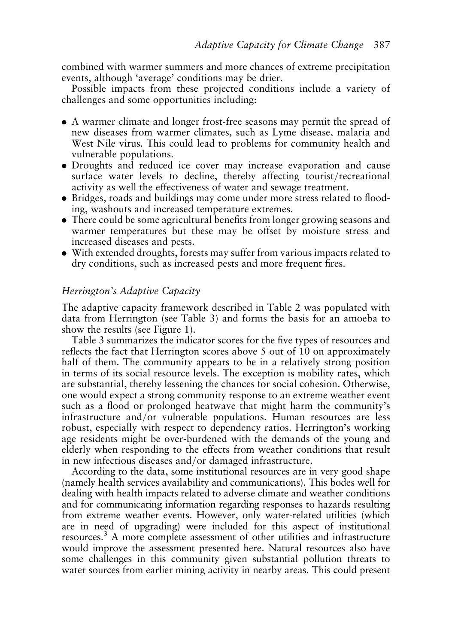combined with warmer summers and more chances of extreme precipitation events, although 'average' conditions may be drier.

Possible impacts from these projected conditions include a variety of challenges and some opportunities including:

- . A warmer climate and longer frost-free seasons may permit the spread of new diseases from warmer climates, such as Lyme disease, malaria and West Nile virus. This could lead to problems for community health and vulnerable populations.
- . Droughts and reduced ice cover may increase evaporation and cause surface water levels to decline, thereby affecting tourist/recreational activity as well the effectiveness of water and sewage treatment.
- . Bridges, roads and buildings may come under more stress related to flooding, washouts and increased temperature extremes.
- . There could be some agricultural benefits from longer growing seasons and warmer temperatures but these may be offset by moisture stress and increased diseases and pests.
- . With extended droughts, forests may suffer from various impacts related to dry conditions, such as increased pests and more frequent fires.

# Herrington's Adaptive Capacity

The adaptive capacity framework described in Table 2 was populated with data from Herrington (see Table 3) and forms the basis for an amoeba to show the results (see Figure 1).

Table 3 summarizes the indicator scores for the five types of resources and reflects the fact that Herrington scores above 5 out of 10 on approximately half of them. The community appears to be in a relatively strong position in terms of its social resource levels. The exception is mobility rates, which are substantial, thereby lessening the chances for social cohesion. Otherwise, one would expect a strong community response to an extreme weather event such as a flood or prolonged heatwave that might harm the community's infrastructure and/or vulnerable populations. Human resources are less robust, especially with respect to dependency ratios. Herrington's working age residents might be over-burdened with the demands of the young and elderly when responding to the effects from weather conditions that result in new infectious diseases and/or damaged infrastructure.

According to the data, some institutional resources are in very good shape (namely health services availability and communications). This bodes well for dealing with health impacts related to adverse climate and weather conditions and for communicating information regarding responses to hazards resulting from extreme weather events. However, only water-related utilities (which are in need of upgrading) were included for this aspect of institutional resources.<sup>3</sup> A more complete assessment of other utilities and infrastructure would improve the assessment presented here. Natural resources also have some challenges in this community given substantial pollution threats to water sources from earlier mining activity in nearby areas. This could present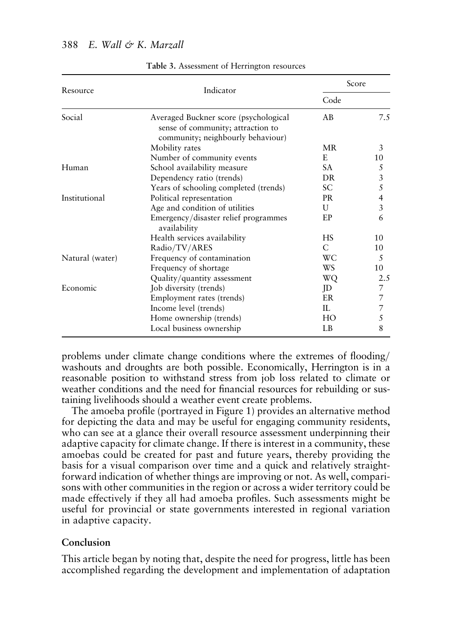| Resource        | Indicator                                                                                                       | Score<br>Code  |                |
|-----------------|-----------------------------------------------------------------------------------------------------------------|----------------|----------------|
|                 |                                                                                                                 |                |                |
| Social          | Averaged Buckner score (psychological<br>sense of community; attraction to<br>community; neighbourly behaviour) | AB             | 7.5            |
|                 | Mobility rates                                                                                                  | <b>MR</b>      | 3              |
|                 | Number of community events                                                                                      | E.             | 10             |
| Human           | School availability measure                                                                                     | SA.            | 5              |
|                 | Dependency ratio (trends)                                                                                       | DR.            | $\mathfrak{Z}$ |
|                 | Years of schooling completed (trends)                                                                           | SC             | 5              |
| Institutional   | Political representation                                                                                        | PR             | 4              |
|                 | Age and condition of utilities                                                                                  | U              | 3              |
|                 | Emergency/disaster relief programmes<br>availability                                                            | EP             | 6              |
|                 | Health services availability                                                                                    | <b>HS</b>      | 10             |
|                 | Radio/TV/ARES                                                                                                   | $\mathcal{C}$  | 10             |
| Natural (water) | Frequency of contamination                                                                                      | <b>WC</b>      | 5              |
|                 | Frequency of shortage                                                                                           | WS             | 10             |
|                 | Quality/quantity assessment                                                                                     | WQ.            | 2.5            |
| Economic        | Job diversity (trends)                                                                                          | JD             | 7              |
|                 | Employment rates (trends)                                                                                       | ER             | 7              |
|                 | Income level (trends)                                                                                           | $\Pi$ .        | 7              |
|                 | Home ownership (trends)                                                                                         | H <sub>O</sub> | 5              |
|                 | Local business ownership                                                                                        | LB             | 8              |

Table 3. Assessment of Herrington resources

problems under climate change conditions where the extremes of flooding/ washouts and droughts are both possible. Economically, Herrington is in a reasonable position to withstand stress from job loss related to climate or weather conditions and the need for financial resources for rebuilding or sustaining livelihoods should a weather event create problems.

The amoeba profile (portrayed in Figure 1) provides an alternative method for depicting the data and may be useful for engaging community residents, who can see at a glance their overall resource assessment underpinning their adaptive capacity for climate change. If there is interest in a community, these amoebas could be created for past and future years, thereby providing the basis for a visual comparison over time and a quick and relatively straightforward indication of whether things are improving or not. As well, comparisons with other communities in the region or across a wider territory could be made effectively if they all had amoeba profiles. Such assessments might be useful for provincial or state governments interested in regional variation in adaptive capacity.

# Conclusion

This article began by noting that, despite the need for progress, little has been accomplished regarding the development and implementation of adaptation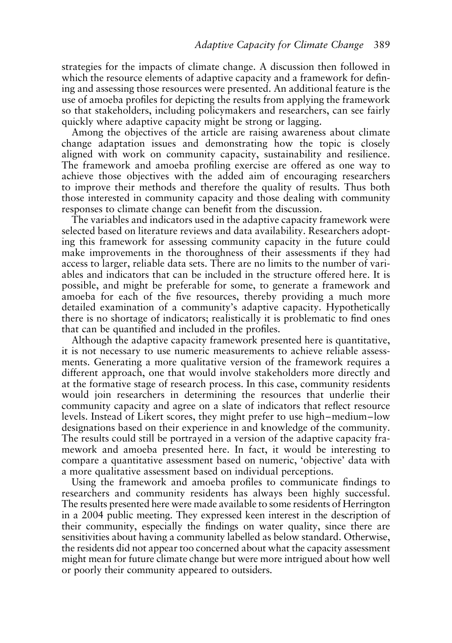strategies for the impacts of climate change. A discussion then followed in which the resource elements of adaptive capacity and a framework for defining and assessing those resources were presented. An additional feature is the use of amoeba profiles for depicting the results from applying the framework so that stakeholders, including policymakers and researchers, can see fairly quickly where adaptive capacity might be strong or lagging.

Among the objectives of the article are raising awareness about climate change adaptation issues and demonstrating how the topic is closely aligned with work on community capacity, sustainability and resilience. The framework and amoeba profiling exercise are offered as one way to achieve those objectives with the added aim of encouraging researchers to improve their methods and therefore the quality of results. Thus both those interested in community capacity and those dealing with community responses to climate change can benefit from the discussion.

The variables and indicators used in the adaptive capacity framework were selected based on literature reviews and data availability. Researchers adopting this framework for assessing community capacity in the future could make improvements in the thoroughness of their assessments if they had access to larger, reliable data sets. There are no limits to the number of variables and indicators that can be included in the structure offered here. It is possible, and might be preferable for some, to generate a framework and amoeba for each of the five resources, thereby providing a much more detailed examination of a community's adaptive capacity. Hypothetically there is no shortage of indicators; realistically it is problematic to find ones that can be quantified and included in the profiles.

Although the adaptive capacity framework presented here is quantitative, it is not necessary to use numeric measurements to achieve reliable assessments. Generating a more qualitative version of the framework requires a different approach, one that would involve stakeholders more directly and at the formative stage of research process. In this case, community residents would join researchers in determining the resources that underlie their community capacity and agree on a slate of indicators that reflect resource levels. Instead of Likert scores, they might prefer to use high –medium–low designations based on their experience in and knowledge of the community. The results could still be portrayed in a version of the adaptive capacity framework and amoeba presented here. In fact, it would be interesting to compare a quantitative assessment based on numeric, 'objective' data with a more qualitative assessment based on individual perceptions.

Using the framework and amoeba profiles to communicate findings to researchers and community residents has always been highly successful. The results presented here were made available to some residents of Herrington in a 2004 public meeting. They expressed keen interest in the description of their community, especially the findings on water quality, since there are sensitivities about having a community labelled as below standard. Otherwise, the residents did not appear too concerned about what the capacity assessment might mean for future climate change but were more intrigued about how well or poorly their community appeared to outsiders.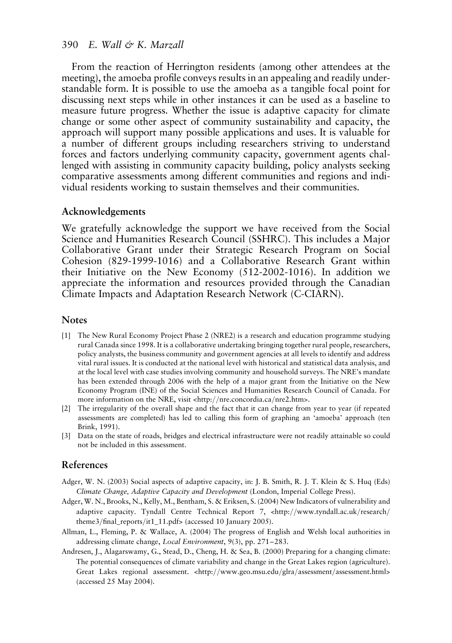# $390$  E. Wall & K. Marzall

From the reaction of Herrington residents (among other attendees at the meeting), the amoeba profile conveys results in an appealing and readily understandable form. It is possible to use the amoeba as a tangible focal point for discussing next steps while in other instances it can be used as a baseline to measure future progress. Whether the issue is adaptive capacity for climate change or some other aspect of community sustainability and capacity, the approach will support many possible applications and uses. It is valuable for a number of different groups including researchers striving to understand forces and factors underlying community capacity, government agents challenged with assisting in community capacity building, policy analysts seeking comparative assessments among different communities and regions and individual residents working to sustain themselves and their communities.

#### Acknowledgements

We gratefully acknowledge the support we have received from the Social Science and Humanities Research Council (SSHRC). This includes a Major Collaborative Grant under their Strategic Research Program on Social Cohesion (829-1999-1016) and a Collaborative Research Grant within their Initiative on the New Economy (512-2002-1016). In addition we appreciate the information and resources provided through the Canadian Climate Impacts and Adaptation Research Network (C-CIARN).

#### **Notes**

- [1] The New Rural Economy Project Phase 2 (NRE2) is a research and education programme studying rural Canada since 1998. It is a collaborative undertaking bringing together rural people, researchers, policy analysts, the business community and government agencies at all levels to identify and address vital rural issues. It is conducted at the national level with historical and statistical data analysis, and at the local level with case studies involving community and household surveys. The NRE's mandate has been extended through 2006 with the help of a major grant from the Initiative on the New Economy Program (INE) of the Social Sciences and Humanities Research Council of Canada. For more information on the NRE, visit <http://nre.concordia.ca/nre2.htm>.
- [2] The irregularity of the overall shape and the fact that it can change from year to year (if repeated assessments are completed) has led to calling this form of graphing an 'amoeba' approach (ten Brink, 1991).
- [3] Data on the state of roads, bridges and electrical infrastructure were not readily attainable so could not be included in this assessment.

#### References

- Adger, W. N. (2003) Social aspects of adaptive capacity, in: J. B. Smith, R. J. T. Klein & S. Huq (Eds) Climate Change, Adaptive Capacity and Development (London, Imperial College Press).
- Adger, W. N., Brooks, N., Kelly, M., Bentham, S. & Eriksen, S. (2004) New Indicators of vulnerability and adaptive capacity. Tyndall Centre Technical Report 7, <http://www.tyndall.ac.uk/research/ theme3/final\_reports/it1\_11.pdf> (accessed 10 January 2005).
- Allman, L., Fleming, P. & Wallace, A. (2004) The progress of English and Welsh local authorities in addressing climate change, Local Environment, 9(3), pp. 271 –283.
- Andresen, J., Alagarswamy, G., Stead, D., Cheng, H. & Sea, B. (2000) Preparing for a changing climate: The potential consequences of climate variability and change in the Great Lakes region (agriculture). Great Lakes regional assessment. <http://www.geo.msu.edu/glra/assessment/assessment.html> (accessed 25 May 2004).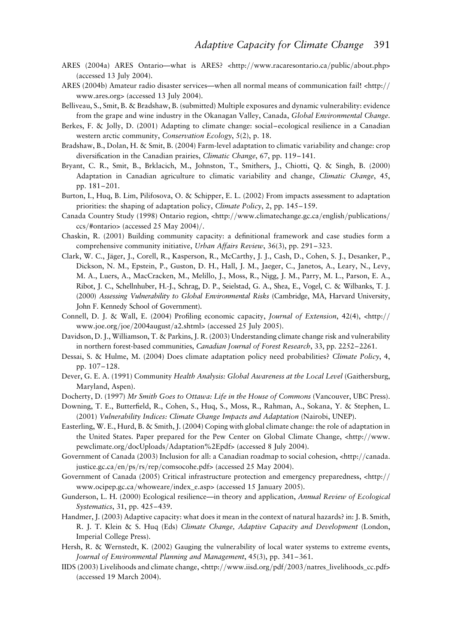- ARES (2004a) ARES Ontario—what is ARES? <http://www.racaresontario.ca/public/about.php> (accessed 13 July 2004).
- ARES (2004b) Amateur radio disaster services—when all normal means of communication fail! <http:// www.ares.org> (accessed 13 July 2004).
- Belliveau, S., Smit, B. & Bradshaw, B. (submitted) Multiple exposures and dynamic vulnerability: evidence from the grape and wine industry in the Okanagan Valley, Canada, Global Environmental Change.
- Berkes, F. & Jolly, D. (2001) Adapting to climate change: social –ecological resilience in a Canadian western arctic community, Conservation Ecology, 5(2), p. 18.
- Bradshaw, B., Dolan, H. & Smit, B. (2004) Farm-level adaptation to climatic variability and change: crop diversification in the Canadian prairies, Climatic Change, 67, pp. 119–141.
- Bryant, C. R., Smit, B., Brklacich, M., Johnston, T., Smithers, J., Chiotti, Q. & Singh, B. (2000) Adaptation in Canadian agriculture to climatic variability and change, Climatic Change, 45, pp. 181 –201.
- Burton, I., Huq, B. Lim, Pilifosova, O. & Schipper, E. L. (2002) From impacts assessment to adaptation priorities: the shaping of adaptation policy, Climate Policy, 2, pp. 145–159.
- Canada Country Study (1998) Ontario region, <http://www.climatechange.gc.ca/english/publications/ ccs/#ontario> (accessed 25 May 2004)/.
- Chaskin, R. (2001) Building community capacity: a definitional framework and case studies form a comprehensive community initiative, Urban Affairs Review, 36(3), pp. 291-323.
- Clark, W. C., Jäger, J., Corell, R., Kasperson, R., McCarthy, J. J., Cash, D., Cohen, S. J., Desanker, P., Dickson, N. M., Epstein, P., Guston, D. H., Hall, J. M., Jaeger, C., Janetos, A., Leary, N., Levy, M. A., Luers, A., MacCracken, M., Melillo, J., Moss, R., Nigg, J. M., Parry, M. L., Parson, E. A., Ribot, J. C., Schellnhuber, H.-J., Schrag, D. P., Seielstad, G. A., Shea, E., Vogel, C. & Wilbanks, T. J. (2000) Assessing Vulnerability to Global Environmental Risks (Cambridge, MA, Harvard University, John F. Kennedy School of Government).
- Connell, D. J. & Wall, E. (2004) Profiling economic capacity, Journal of Extension, 42(4), <http:// www.joe.org/joe/2004august/a2.shtml> (accessed 25 July 2005).
- Davidson, D. J., Williamson, T. & Parkins, J. R. (2003) Understanding climate change risk and vulnerability in northern forest-based communities, Canadian Journal of Forest Research, 33, pp. 2252–2261.
- Dessai, S. & Hulme, M. (2004) Does climate adaptation policy need probabilities? Climate Policy, 4, pp. 107 –128.
- Dever, G. E. A. (1991) Community Health Analysis: Global Awareness at the Local Level (Gaithersburg, Maryland, Aspen).
- Docherty, D. (1997) Mr Smith Goes to Ottawa: Life in the House of Commons (Vancouver, UBC Press).
- Downing, T. E., Butterfield, R., Cohen, S., Huq, S., Moss, R., Rahman, A., Sokana, Y. & Stephen, L. (2001) Vulnerability Indices: Climate Change Impacts and Adaptation (Nairobi, UNEP).
- Easterling, W. E., Hurd, B. & Smith, J. (2004) Coping with global climate change: the role of adaptation in the United States. Paper prepared for the Pew Center on Global Climate Change, <http://www. pewclimate.org/docUploads/Adaptation%2Epdf> (accessed 8 July 2004).
- Government of Canada (2003) Inclusion for all: a Canadian roadmap to social cohesion, <http://canada. justice.gc.ca/en/ps/rs/rep/comsocohe.pdf> (accessed 25 May 2004).
- Government of Canada (2005) Critical infrastructure protection and emergency preparedness, <http:// www.ocipep.gc.ca/whoweare/index\_e.asp> (accessed 15 January 2005).
- Gunderson, L. H. (2000) Ecological resilience—in theory and application, Annual Review of Ecological Systematics, 31, pp. 425–439.
- Handmer, J. (2003) Adaptive capacity: what does it mean in the context of natural hazards? in: J. B. Smith, R. J. T. Klein & S. Huq (Eds) Climate Change, Adaptive Capacity and Development (London, Imperial College Press).
- Hersh, R. & Wernstedt, K. (2002) Gauging the vulnerability of local water systems to extreme events, Journal of Environmental Planning and Management, 45(3), pp. 341–361.
- IIDS (2003) Livelihoods and climate change, <http://www.iisd.org/pdf/2003/natres\_livelihoods\_cc.pdf> (accessed 19 March 2004).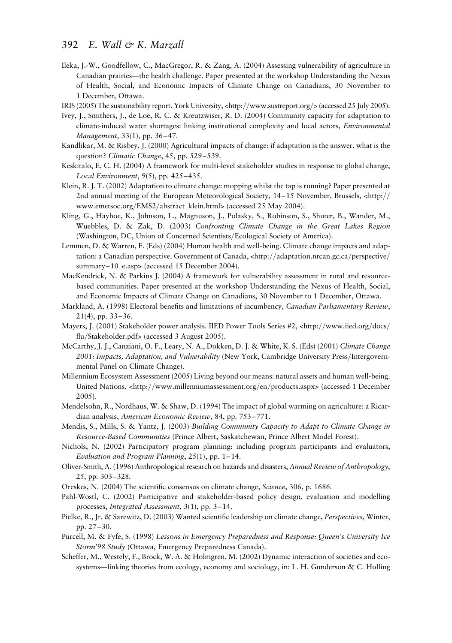# 392 E. Wall & K. Marzall

- Ileka, J.-W., Goodfellow, C., MacGregor, R. & Zang, A. (2004) Assessing vulnerability of agriculture in Canadian prairies—the health challenge. Paper presented at the workshop Understanding the Nexus of Health, Social, and Economic Impacts of Climate Change on Canadians, 30 November to 1 December, Ottawa.
- IRIS (2005) The sustainability report. York University, <http://www.sustreport.org/> (accessed 25 July 2005).
- Ivey, J., Smithers, J., de Loë, R. C. & Kreutzwiser, R. D. (2004) Community capacity for adaptation to climate-induced water shortages: linking institutional complexity and local actors, *Environmental* Management, 33(1), pp. 36–47.
- Kandlikar, M. & Risbey, J. (2000) Agricultural impacts of change: if adaptation is the answer, what is the question? Climatic Change, 45, pp. 529–539.
- Keskitalo, E. C. H. (2004) A framework for multi-level stakeholder studies in response to global change, Local Environment, 9(5), pp. 425–435.
- Klein, R. J. T. (2002) Adaptation to climate change: mopping whilst the tap is running? Paper presented at 2nd annual meeting of the European Meteorological Society, 14–15 November, Brussels, <http:// www.emetsoc.org/EMS2/abstract\_klein.html> (accessed 25 May 2004).
- Kling, G., Hayhoe, K., Johnson, L., Magnuson, J., Polasky, S., Robinson, S., Shuter, B., Wander, M., Wuebbles, D. & Zak, D. (2003) Confronting Climate Change in the Great Lakes Region (Washington, DC, Union of Concerned Scientists/Ecological Society of America).
- Lemmen, D. & Warren, F. (Eds) (2004) Human health and well-being. Climate change impacts and adaptation: a Canadian perspective. Government of Canada, <http://adaptation.nrcan.gc.ca/perspective/ summary–10\_e.asp> (accessed 15 December 2004).
- MacKendrick, N. & Parkins J. (2004) A framework for vulnerability assessment in rural and resourcebased communities. Paper presented at the workshop Understanding the Nexus of Health, Social, and Economic Impacts of Climate Change on Canadians, 30 November to 1 December, Ottawa.
- Markland, A. (1998) Electoral benefits and limitations of incumbency, Canadian Parliamentary Review, 21(4), pp. 33–36.
- Mayers, J. (2001) Stakeholder power analysis. IIED Power Tools Series #2, <http://www.iied.org/docs/ flu/Stakeholder.pdf> (accessed 3 August 2005).
- McCarthy, J. J., Canziani, O. F., Leary, N. A., Dokken, D. J. & White, K. S. (Eds) (2001) Climate Change 2001: Impacts, Adaptation, and Vulnerability (New York, Cambridge University Press/Intergovernmental Panel on Climate Change).
- Millennium Ecosystem Assessment (2005) Living beyond our means: natural assets and human well-being. United Nations, <http://www.millenniumassessment.org/en/products.aspx> (accessed 1 December 2005).
- Mendelsohn, R., Nordhaus, W. & Shaw, D. (1994) The impact of global warming on agriculture: a Ricardian analysis, American Economic Review, 84, pp. 753 –771.
- Mendis, S., Mills, S. & Yantz, J. (2003) Building Community Capacity to Adapt to Climate Change in Resource-Based Communities (Prince Albert, Saskatchewan, Prince Albert Model Forest).
- Nichols, N. (2002) Participatory program planning: including program participants and evaluators, Evaluation and Program Planning, 25(1), pp. 1 –14.
- Oliver-Smith, A. (1996) Anthropological research on hazards and disasters, Annual Review of Anthropology, 25, pp. 303–328.
- Oreskes, N. (2004) The scientific consensus on climate change, Science, 306, p. 1686.
- Pahl-Wostl, C. (2002) Participative and stakeholder-based policy design, evaluation and modelling processes, *Integrated Assessment*, 3(1), pp. 3-14.
- Pielke, R., Jr. & Sarewitz, D. (2003) Wanted scientific leadership on climate change, Perspectives, Winter, pp. 27–30.
- Purcell, M. & Fyfe, S. (1998) Lessons in Emergency Preparedness and Response: Queen's University Ice Storm'98 Study (Ottawa, Emergency Preparedness Canada).
- Scheffer, M., Westely, F., Brock, W. A. & Holmgren, M. (2002) Dynamic interaction of societies and ecosystems—linking theories from ecology, economy and sociology, in: L. H. Gunderson & C. Holling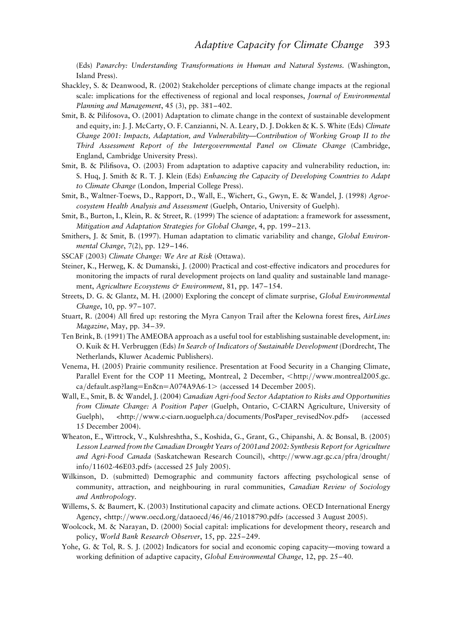(Eds) Panarchy: Understanding Transformations in Human and Natural Systems. (Washington, Island Press).

- Shackley, S. & Deanwood, R. (2002) Stakeholder perceptions of climate change impacts at the regional scale: implications for the effectiveness of regional and local responses, Journal of Environmental Planning and Management, 45 (3), pp. 381–402.
- Smit, B. & Pilifosova, O. (2001) Adaptation to climate change in the context of sustainable development and equity, in: J. J. McCarty, O. F. Canzianni, N. A. Leary, D. J. Dokken & K. S. White (Eds) Climate Change 2001: Impacts, Adaptation, and Vulnerability—Contribution of Working Group II to the Third Assessment Report of the Intergovernmental Panel on Climate Change (Cambridge, England, Cambridge University Press).
- Smit, B. & Pilifisova, O. (2003) From adaptation to adaptive capacity and vulnerability reduction, in: S. Huq, J. Smith & R. T. J. Klein (Eds) Enhancing the Capacity of Developing Countries to Adapt to Climate Change (London, Imperial College Press).
- Smit, B., Waltner-Toews, D., Rapport, D., Wall, E., Wichert, G., Gwyn, E. & Wandel, J. (1998) Agroecosystem Health Analysis and Assessment (Guelph, Ontario, University of Guelph).
- Smit, B., Burton, I., Klein, R. & Street, R. (1999) The science of adaptation: a framework for assessment, Mitigation and Adaptation Strategies for Global Change, 4, pp. 199–213.
- Smithers, J. & Smit, B. (1997). Human adaptation to climatic variability and change, Global Environmental Change, 7(2), pp. 129–146.
- SSCAF (2003) Climate Change: We Are at Risk (Ottawa).
- Steiner, K., Herweg, K. & Dumanski, J. (2000) Practical and cost-effective indicators and procedures for monitoring the impacts of rural development projects on land quality and sustainable land management, Agriculture Ecosystems & Environment, 81, pp. 147-154.
- Streets, D. G. & Glantz, M. H. (2000) Exploring the concept of climate surprise, Global Environmental Change, 10, pp. 97–107.
- Stuart, R. (2004) All fired up: restoring the Myra Canyon Trail after the Kelowna forest fires, AirLines Magazine, May, pp. 34–39.
- Ten Brink, B. (1991) The AMEOBA approach as a useful tool for establishing sustainable development, in: O. Kuik & H. Verbruggen (Eds) In Search of Indicators of Sustainable Development (Dordrecht, The Netherlands, Kluwer Academic Publishers).
- Venema, H. (2005) Prairie community resilience. Presentation at Food Security in a Changing Climate, Parallel Event for the COP 11 Meeting, Montreal, 2 December, <http://www.montreal2005.gc. ca/default.asp?lang=En&n=A074A9A6-1> (accessed 14 December 2005).
- Wall, E., Smit, B. & Wandel, J. (2004) Canadian Agri-food Sector Adaptation to Risks and Opportunities from Climate Change: A Position Paper (Guelph, Ontario, C-CIARN Agriculture, University of Guelph), <http://www.c-ciarn.uoguelph.ca/documents/PosPaper\_revisedNov.pdf> (accessed 15 December 2004).
- Wheaton, E., Wittrock, V., Kulshreshtha, S., Koshida, G., Grant, G., Chipanshi, A. & Bonsal, B. (2005) Lesson Learned from the Canadian Drought Years of 2001and 2002: Synthesis Report for Agriculture and Agri-Food Canada (Saskatchewan Research Council), <http://www.agr.gc.ca/pfra/drought/ info/11602-46E03.pdf> (accessed 25 July 2005).
- Wilkinson, D. (submitted) Demographic and community factors affecting psychological sense of community, attraction, and neighbouring in rural communities, Canadian Review of Sociology and Anthropology.
- Willems, S. & Baumert, K. (2003) Institutional capacity and climate actions. OECD International Energy Agency, <http://www.oecd.org/dataoecd/46/46/21018790.pdf> (accessed 3 August 2005).
- Woolcock, M. & Narayan, D. (2000) Social capital: implications for development theory, research and policy, World Bank Research Observer, 15, pp. 225–249.
- Yohe, G. & Tol, R. S. J. (2002) Indicators for social and economic coping capacity—moving toward a working definition of adaptive capacity, Global Environmental Change, 12, pp. 25–40.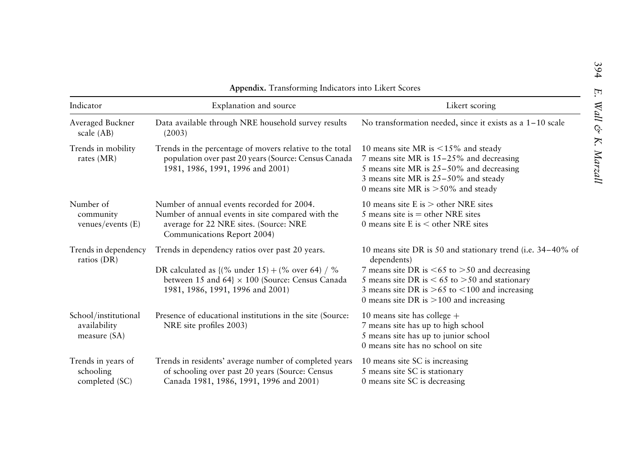| Appendix. Transforming Indicators into Likert Scores |                                                                                                                                                                                                                                      |                                                                                                                                                                                                                                                                                             |
|------------------------------------------------------|--------------------------------------------------------------------------------------------------------------------------------------------------------------------------------------------------------------------------------------|---------------------------------------------------------------------------------------------------------------------------------------------------------------------------------------------------------------------------------------------------------------------------------------------|
| Indicator                                            | Explanation and source                                                                                                                                                                                                               | Likert scoring                                                                                                                                                                                                                                                                              |
| Averaged Buckner<br>scale (AB)                       | Data available through NRE household survey results<br>(2003)                                                                                                                                                                        | No transformation needed, since it exists as a $1-10$ scale                                                                                                                                                                                                                                 |
| Trends in mobility<br>rates (MR)                     | Trends in the percentage of movers relative to the total<br>population over past 20 years (Source: Census Canada<br>1981, 1986, 1991, 1996 and 2001)                                                                                 | 10 means site MR is $\leq$ 15% and steady<br>7 means site MR is $15-25\%$ and decreasing<br>5 means site MR is $25-50\%$ and decreasing<br>3 means site MR is 25-50% and steady<br>0 means site MR is $>50\%$ and steady                                                                    |
| Number of<br>community<br>venues/events $(E)$        | Number of annual events recorded for 2004.<br>Number of annual events in site compared with the<br>average for 22 NRE sites. (Source: NRE<br>Communications Report 2004)                                                             | 10 means site $E$ is $>$ other NRE sites<br>5 means site is $=$ other NRE sites<br>0 means site E is $\lt$ other NRE sites                                                                                                                                                                  |
| Trends in dependency<br>ratios (DR)                  | Trends in dependency ratios over past 20 years.<br>DR calculated as { $\frac{9}{6}$ under 15} + $\frac{9}{6}$ over 64} / $\frac{9}{6}$<br>between 15 and 64} $\times$ 100 (Source: Census Canada<br>1981, 1986, 1991, 1996 and 2001) | 10 means site DR is 50 and stationary trend (i.e. 34–40% of<br>dependents)<br>7 means site DR is $\leq 65$ to $> 50$ and decreasing<br>5 means site DR is $< 65$ to $> 50$ and stationary<br>3 means site DR is $>65$ to $< 100$ and increasing<br>0 means site DR is $>100$ and increasing |
| School/institutional<br>availability<br>measure (SA) | Presence of educational institutions in the site (Source:<br>NRE site profiles 2003)                                                                                                                                                 | 10 means site has college $+$<br>7 means site has up to high school<br>5 means site has up to junior school<br>0 means site has no school on site                                                                                                                                           |
| Trends in years of<br>schooling<br>completed (SC)    | Trends in residents' average number of completed years<br>of schooling over past 20 years (Source: Census<br>Canada 1981, 1986, 1991, 1996 and 2001)                                                                                 | 10 means site SC is increasing<br>5 means site SC is stationary<br>0 means site SC is decreasing                                                                                                                                                                                            |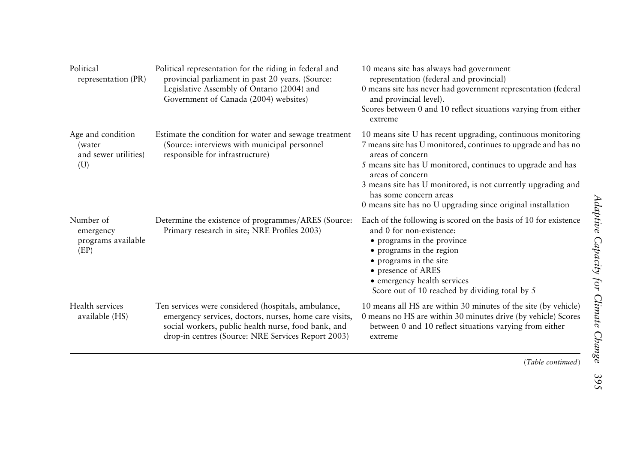| Political<br>representation (PR)                           | Political representation for the riding in federal and<br>provincial parliament in past 20 years. (Source:<br>Legislative Assembly of Ontario (2004) and<br>Government of Canada (2004) websites)                          | 10 means site has always had government<br>representation (federal and provincial)<br>0 means site has never had government representation (federal<br>and provincial level).<br>Scores between 0 and 10 reflect situations varying from either<br>extreme                                                                                                                                  |
|------------------------------------------------------------|----------------------------------------------------------------------------------------------------------------------------------------------------------------------------------------------------------------------------|---------------------------------------------------------------------------------------------------------------------------------------------------------------------------------------------------------------------------------------------------------------------------------------------------------------------------------------------------------------------------------------------|
| Age and condition<br>(water<br>and sewer utilities)<br>(U) | Estimate the condition for water and sewage treatment<br>(Source: interviews with municipal personnel<br>responsible for infrastructure)                                                                                   | 10 means site U has recent upgrading, continuous monitoring<br>7 means site has U monitored, continues to upgrade and has no<br>areas of concern<br>5 means site has U monitored, continues to upgrade and has<br>areas of concern<br>3 means site has U monitored, is not currently upgrading and<br>has some concern areas<br>0 means site has no U upgrading since original installation |
| Number of<br>emergency<br>programs available<br>(EP)       | Determine the existence of programmes/ARES (Source:<br>Primary research in site; NRE Profiles 2003)                                                                                                                        | Each of the following is scored on the basis of 10 for existence<br>and 0 for non-existence:<br>• programs in the province<br>• programs in the region<br>• programs in the site<br>• presence of ARES<br>• emergency health services<br>Score out of 10 reached by dividing total by 5                                                                                                     |
| Health services<br>available (HS)                          | Ten services were considered (hospitals, ambulance,<br>emergency services, doctors, nurses, home care visits,<br>social workers, public health nurse, food bank, and<br>drop-in centres (Source: NRE Services Report 2003) | 10 means all HS are within 30 minutes of the site (by vehicle)<br>0 means no HS are within 30 minutes drive (by vehicle) Scores<br>between 0 and 10 reflect situations varying from either<br>extreme                                                                                                                                                                                       |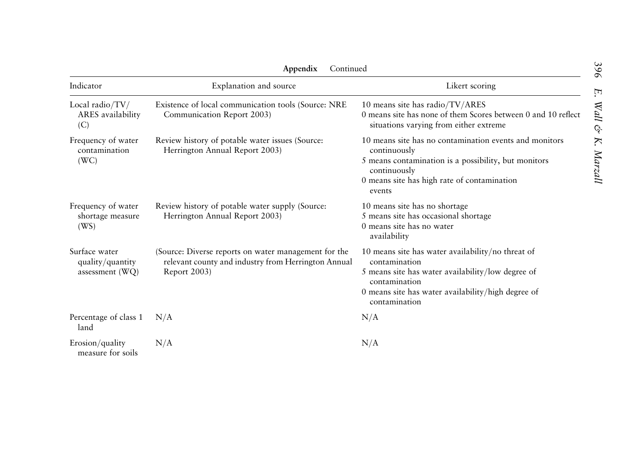| Appendix<br>Continued                                  |                                                                                                                             |                                                                                                                                                                                                                 |
|--------------------------------------------------------|-----------------------------------------------------------------------------------------------------------------------------|-----------------------------------------------------------------------------------------------------------------------------------------------------------------------------------------------------------------|
| Indicator                                              | Explanation and source                                                                                                      | Likert scoring                                                                                                                                                                                                  |
| Local radio/ $TV/$<br>ARES availability<br>(C)         | Existence of local communication tools (Source: NRE<br>Communication Report 2003)                                           | 10 means site has radio/TV/ARES<br>0 means site has none of them Scores between 0 and 10 reflect<br>situations varying from either extreme                                                                      |
| Frequency of water<br>contamination<br>(WC)            | Review history of potable water issues (Source:<br>Herrington Annual Report 2003)                                           | 10 means site has no contamination events and monitors<br>continuously<br>5 means contamination is a possibility, but monitors<br>continuously<br>0 means site has high rate of contamination<br>events         |
| Frequency of water<br>shortage measure<br>(WS)         | Review history of potable water supply (Source:<br>Herrington Annual Report 2003)                                           | 10 means site has no shortage<br>5 means site has occasional shortage<br>0 means site has no water<br>availability                                                                                              |
| Surface water<br>quality/quantity<br>assessment $(WQ)$ | (Source: Diverse reports on water management for the<br>relevant county and industry from Herrington Annual<br>Report 2003) | 10 means site has water availability/no threat of<br>contamination<br>5 means site has water availability/low degree of<br>contamination<br>0 means site has water availability/high degree of<br>contamination |
| Percentage of class 1<br>land                          | N/A                                                                                                                         | N/A                                                                                                                                                                                                             |
| Erosion/quality<br>measure for soils                   | N/A                                                                                                                         | N/A                                                                                                                                                                                                             |